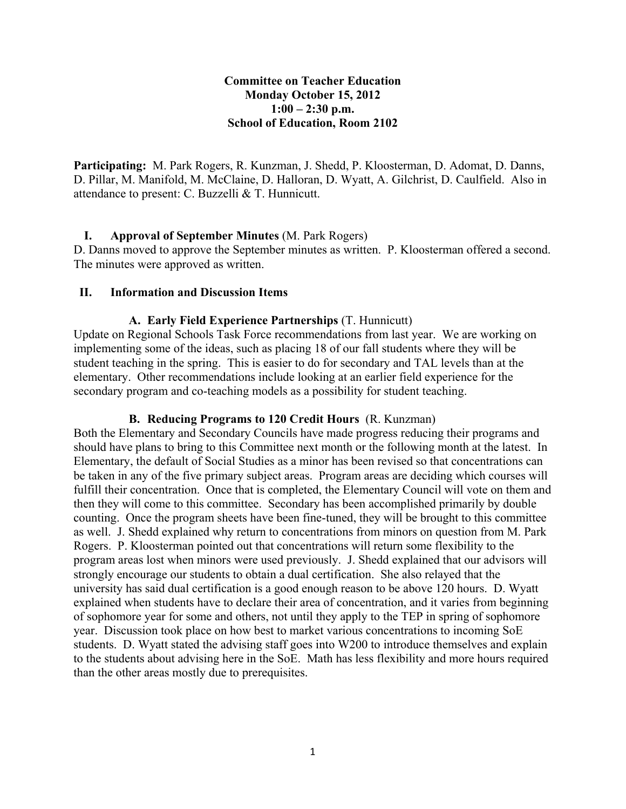# **Committee on Teacher Education Monday October 15, 2012 1:00 – 2:30 p.m. School of Education, Room 2102**

**Participating:** M. Park Rogers, R. Kunzman, J. Shedd, P. Kloosterman, D. Adomat, D. Danns, D. Pillar, M. Manifold, M. McClaine, D. Halloran, D. Wyatt, A. Gilchrist, D. Caulfield. Also in attendance to present: C. Buzzelli & T. Hunnicutt.

# **I. Approval of September Minutes** (M. Park Rogers)

D. Danns moved to approve the September minutes as written. P. Kloosterman offered a second. The minutes were approved as written.

### **II. Information and Discussion Items**

### **A. Early Field Experience Partnerships** (T. Hunnicutt)

Update on Regional Schools Task Force recommendations from last year. We are working on implementing some of the ideas, such as placing 18 of our fall students where they will be student teaching in the spring. This is easier to do for secondary and TAL levels than at the elementary. Other recommendations include looking at an earlier field experience for the secondary program and co-teaching models as a possibility for student teaching.

### **B. Reducing Programs to 120 Credit Hours** (R. Kunzman)

Both the Elementary and Secondary Councils have made progress reducing their programs and should have plans to bring to this Committee next month or the following month at the latest. In Elementary, the default of Social Studies as a minor has been revised so that concentrations can be taken in any of the five primary subject areas. Program areas are deciding which courses will fulfill their concentration. Once that is completed, the Elementary Council will vote on them and then they will come to this committee. Secondary has been accomplished primarily by double counting. Once the program sheets have been fine-tuned, they will be brought to this committee as well. J. Shedd explained why return to concentrations from minors on question from M. Park Rogers. P. Kloosterman pointed out that concentrations will return some flexibility to the program areas lost when minors were used previously. J. Shedd explained that our advisors will strongly encourage our students to obtain a dual certification. She also relayed that the university has said dual certification is a good enough reason to be above 120 hours. D. Wyatt explained when students have to declare their area of concentration, and it varies from beginning of sophomore year for some and others, not until they apply to the TEP in spring of sophomore year. Discussion took place on how best to market various concentrations to incoming SoE students. D. Wyatt stated the advising staff goes into W200 to introduce themselves and explain to the students about advising here in the SoE. Math has less flexibility and more hours required than the other areas mostly due to prerequisites.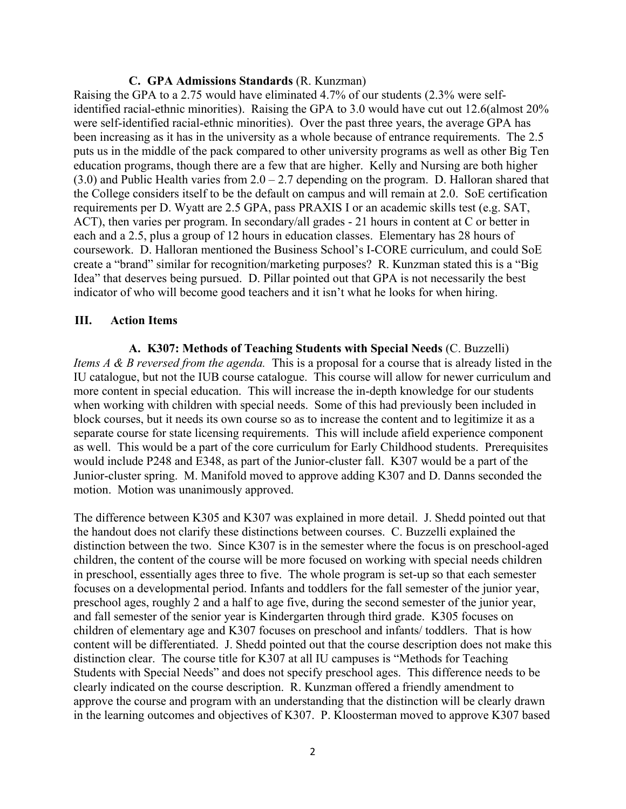#### **C. GPA Admissions Standards** (R. Kunzman)

Raising the GPA to a 2.75 would have eliminated 4.7% of our students (2.3% were selfidentified racial-ethnic minorities). Raising the GPA to 3.0 would have cut out 12.6(almost 20% were self-identified racial-ethnic minorities). Over the past three years, the average GPA has been increasing as it has in the university as a whole because of entrance requirements. The 2.5 puts us in the middle of the pack compared to other university programs as well as other Big Ten education programs, though there are a few that are higher. Kelly and Nursing are both higher  $(3.0)$  and Public Health varies from  $2.0 - 2.7$  depending on the program. D. Halloran shared that the College considers itself to be the default on campus and will remain at 2.0. SoE certification requirements per D. Wyatt are 2.5 GPA, pass PRAXIS I or an academic skills test (e.g. SAT, ACT), then varies per program. In secondary/all grades - 21 hours in content at C or better in each and a 2.5, plus a group of 12 hours in education classes. Elementary has 28 hours of coursework. D. Halloran mentioned the Business School's I-CORE curriculum, and could SoE create a "brand" similar for recognition/marketing purposes? R. Kunzman stated this is a "Big Idea" that deserves being pursued. D. Pillar pointed out that GPA is not necessarily the best indicator of who will become good teachers and it isn't what he looks for when hiring.

#### **III. Action Items**

**A. K307: Methods of Teaching Students with Special Needs** (C. Buzzelli) *Items A & B reversed from the agenda.* This is a proposal for a course that is already listed in the IU catalogue, but not the IUB course catalogue. This course will allow for newer curriculum and more content in special education. This will increase the in-depth knowledge for our students when working with children with special needs. Some of this had previously been included in block courses, but it needs its own course so as to increase the content and to legitimize it as a separate course for state licensing requirements. This will include afield experience component as well. This would be a part of the core curriculum for Early Childhood students. Prerequisites would include P248 and E348, as part of the Junior-cluster fall. K307 would be a part of the Junior-cluster spring. M. Manifold moved to approve adding K307 and D. Danns seconded the motion. Motion was unanimously approved.

The difference between K305 and K307 was explained in more detail. J. Shedd pointed out that the handout does not clarify these distinctions between courses. C. Buzzelli explained the distinction between the two. Since K307 is in the semester where the focus is on preschool-aged children, the content of the course will be more focused on working with special needs children in preschool, essentially ages three to five. The whole program is set-up so that each semester focuses on a developmental period. Infants and toddlers for the fall semester of the junior year, preschool ages, roughly 2 and a half to age five, during the second semester of the junior year, and fall semester of the senior year is Kindergarten through third grade. K305 focuses on children of elementary age and K307 focuses on preschool and infants/ toddlers. That is how content will be differentiated. J. Shedd pointed out that the course description does not make this distinction clear. The course title for K307 at all IU campuses is "Methods for Teaching Students with Special Needs" and does not specify preschool ages. This difference needs to be clearly indicated on the course description. R. Kunzman offered a friendly amendment to approve the course and program with an understanding that the distinction will be clearly drawn in the learning outcomes and objectives of K307. P. Kloosterman moved to approve K307 based